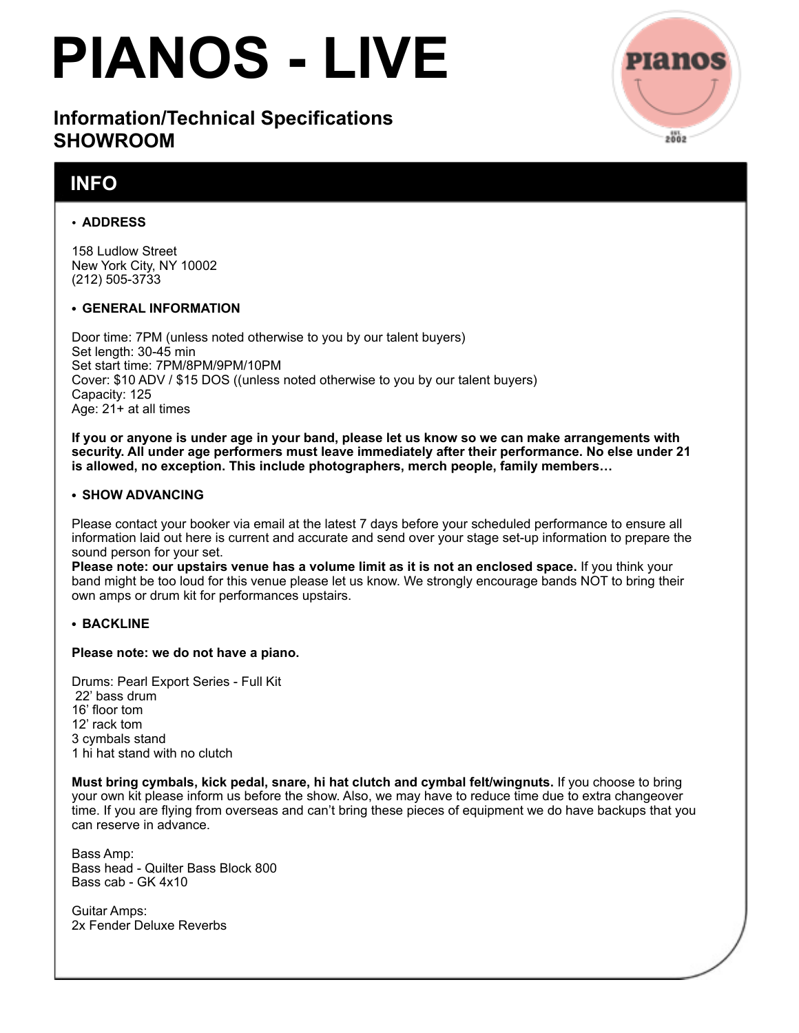# **PIANOS - LIVE**

# **Information/Technical Specifications SHOWROOM**

# **INFO**

# • **ADDRESS**

158 Ludlow Street New York City, NY 10002 (212) 505-3733

## **• GENERAL INFORMATION**

Door time: 7PM (unless noted otherwise to you by our talent buyers) Set length: 30-45 min Set start time: 7PM/8PM/9PM/10PM Cover: \$10 ADV / \$15 DOS ((unless noted otherwise to you by our talent buyers) Capacity: 125 Age: 21+ at all times

**If you or anyone is under age in your band, please let us know so we can make arrangements with security. All under age performers must leave immediately after their performance. No else under 21 is allowed, no exception. This include photographers, merch people, family members…**

## **• SHOW ADVANCING**

Please contact your booker via email at the latest 7 days before your scheduled performance to ensure all information laid out here is current and accurate and send over your stage set-up information to prepare the sound person for your set.

**Please note: our upstairs venue has a volume limit as it is not an enclosed space.** If you think your band might be too loud for this venue please let us know. We strongly encourage bands NOT to bring their own amps or drum kit for performances upstairs.

## **• BACKLINE**

#### **Please note: we do not have a piano.**

Drums: Pearl Export Series - Full Kit 22' bass drum 16' floor tom 12' rack tom 3 cymbals stand 1 hi hat stand with no clutch

**Must bring cymbals, kick pedal, snare, hi hat clutch and cymbal felt/wingnuts.** If you choose to bring your own kit please inform us before the show. Also, we may have to reduce time due to extra changeover time. If you are flying from overseas and can't bring these pieces of equipment we do have backups that you can reserve in advance.

Bass Amp: Bass head - Quilter Bass Block 800 Bass cab - GK 4x10

Guitar Amps: 2x Fender Deluxe Reverbs

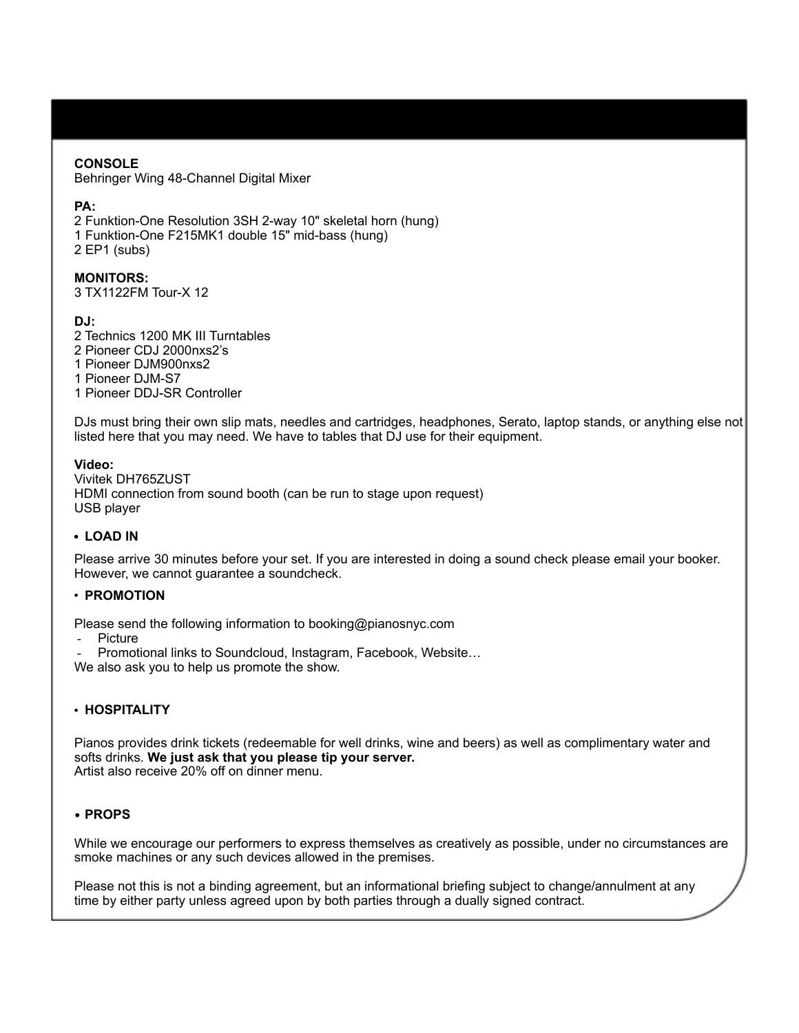#### **CONSOLE**

Behringer Wing 48-Channel Digital Mixer

#### **PA:**

2 Funktion-One Resolution 3SH 2-way 10" skeletal horn (hung) 1 Funktion-One F215MK1 double 15" mid-bass (hung) 2 EP1 (subs)

#### **MONITORS:**

3 TX1122FM Tour-X 12

#### **DJ:**

2 Technics 1200 MK III Turntables 2 Pioneer CDJ 2000nxs2's 1 Pioneer DJM900nxs2 1 Pioneer DJM-S7 1 Pioneer DDJ-SR Controller

DJs must bring their own slip mats, needles and cartridges, headphones, Serato, laptop stands, or anything else not listed here that you may need. We have to tables that DJ use for their equipment.

#### **Video:**

Vivitek DH765ZUST HDMI connection from sound booth (can be run to stage upon request) USB player

#### **• LOAD IN**

Please arrive 30 minutes before your set. If you are interested in doing a sound check please email your booker. However, we cannot guarantee a soundcheck.

#### • **PROMOTION**

Please send the following information to booking@pianosnyc.com

**Picture** 

Promotional links to Soundcloud, Instagram, Facebook, Website...

We also ask you to help us promote the show.

#### • **HOSPITALITY**

Pianos provides drink tickets (redeemable for well drinks, wine and beers) as well as complimentary water and softs drinks. **We just ask that you please tip your server.** Artist also receive 20% off on dinner menu.

#### **• PROPS**

While we encourage our performers to express themselves as creatively as possible, under no circumstances are smoke machines or any such devices allowed in the premises.

Please not this is not a binding agreement, but an informational briefing subject to change/annulment at any time by either party unless agreed upon by both parties through a dually signed contract.